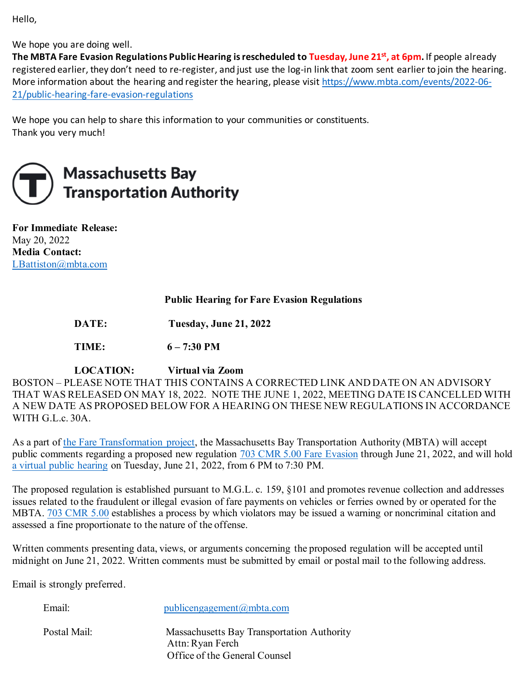Hello,

We hope you are doing well.

**The MBTA Fare Evasion Regulations Public Hearing is rescheduled to Tuesday, June 21st, at 6pm.** If people already registered earlier, they don't need to re-register, and just use the log-in link that zoom sent earlier to join the hearing. More information about the hearing and register the hearing, please visit [https://www.mbta.com/events/2022-06-](https://www.mbta.com/events/2022-06-21/public-hearing-fare-evasion-regulations) [21/public-hearing-fare-evasion-regulations](https://www.mbta.com/events/2022-06-21/public-hearing-fare-evasion-regulations)

We hope you can help to share this information to your communities or constituents. Thank you very much!



# **Massachusetts Bay Transportation Authority**

**For Immediate Release:**  May 20, 2022 **Media Contact:** [LBattiston@mbta.com](mailto:LBattiston@mbta.com)

## **Public Hearing for Fare Evasion Regulations**

**DATE: Tuesday, June 21, 2022**

**TIME: 6 – 7:30 PM**

## **LOCATION: Virtual via Zoom**

BOSTON – PLEASE NOTE THAT THIS CONTAINS A CORRECTED LINK AND DATE ON AN ADVISORY THAT WAS RELEASED ON MAY 18, 2022. NOTE THE JUNE 1, 2022, MEETING DATE IS CANCELLED WITH A NEW DATE AS PROPOSED BELOW FOR A HEARING ON THESE NEW REGULATIONS IN ACCORDANCE WITH G.L.c. 30A.

As a part of [the Fare Transformation project,](https://www.mbta.com/fares/fare-transformation) the Massachusetts Bay Transportation Authority (MBTA) will accept public comments regarding a proposed new regulation [703 CMR 5.00 Fare Evasion](https://cdn.mbta.com/sites/default/files/2022-05/2022-05-20-703-CMR-5.00-MBTA-fare-evasion-regulations.pdf) through June 21, 2022, and will hold [a virtual public hearing](https://www.mbta.com/events/2022-06-21/public-hearing-fare-evasion-regulations) on Tuesday, June 21, 2022, from 6 PM to 7:30 PM.

The proposed regulation is established pursuant to M.G.L. c. 159, §101 and promotes revenue collection and addresses issues related to the fraudulent or illegal evasion of fare payments on vehicles or ferries owned by or operated for the MBTA. [703 CMR 5.00](https://cdn.mbta.com/sites/default/files/2022-05/2022-05-20-703-CMR-5.00-MBTA-fare-evasion-regulations.pdf) establishes a process by which violators may be issued a warning or noncriminal citation and assessed a fine proportionate to the nature of the offense.

Written comments presenting data, views, or arguments concerning the proposed regulation will be accepted until midnight on June 21, 2022. Written comments must be submitted by email or postal mail to the following address.

Email is strongly preferred.

Email: [publicengagement@mbta.com](mailto:publicengagement@mbta.com)

Postal Mail: Massachusetts Bay Transportation Authority Attn: Ryan Ferch Office of the General Counsel